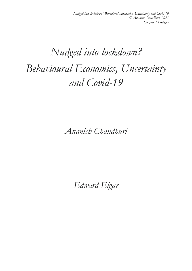## *Nudged into lockdown? Behavioural Economics, Uncertainty and Covid-19*

*Ananish Chaudhuri*

*Edward Elgar*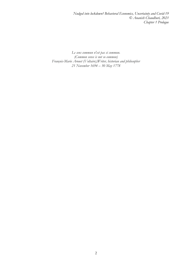*Nudged into lockdown? Behavioral Economics, Uncertainty and Covid-19 © Ananish Chaudhuri, 2021 Chapter 1 Prologue*

*Le sens commun n'est pas si commun. (Common sense is not so common) François-Marie Arouet (Voltaire),Writer, historian and philosopher 21 November 1694 – 30 May 1778*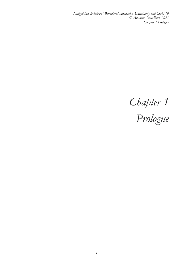*Nudged into lockdown? Behavioral Economics, Uncertainty and Covid-19 © Ananish Chaudhuri, 2021 Chapter 1 Prologue*

*Chapter 1 Prologue*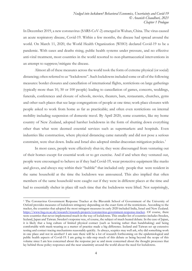In December 2019, a new coronavirus (SARS-CoV-2) emerged in Wuhan, China. The virus caused an acute respiratory disease, Covid-19. Within a few months, the disease had spread around the world. On March 11, 2020, the World Health Organization (WHO) declared Covid-19 to be a pandemic. With cases and deaths rising, public health systems under pressure, and no effective anti-viral treatment, most countries in the world resorted to non-pharmaceutical interventions in an attempt to suppress/mitigate the disease.

Almost all of these measures across the world took the form of extreme physical (or social) distancing; often referred to as "lockdowns". Such lockdowns included some or all of the following measures: border closures and cancellation of international flights, restrictions on large gatherings (typically more than 10, 50 or 100 people) leading to cancellation of games, concerts, weddings, funerals, conferences and closure of schools, movies, theaters, bars, restaurants, churches, gyms and other such places that see large congregations of people at one time; work place closures with people asked to work from home as far as practicable; and often even restrictions on internal mobility including suspension of domestic travel. By April 2020, some countries, like my home country of New Zealand, adopted harsher lockdowns in the form of shutting down everything other than what were deemed essential services such as supermarkets and hospitals. Even industries like construction, where physical distancing came naturally and did not pose a serious constraint, were shut down. India and Israel also adopted similar draconian mitigation policies.<sup>1</sup>

In most cases, people were effectively shut-in; they were discouraged from venturing out of their homes except for essential work or to get exercise. And if and when they ventured out, people were encouraged to behave as if they had Covid-19, wear protective equipment like masks and gloves, and always stay within their "bubble" that included only people that were resident in the same household at the time the lockdown was announced. This also implied that often members of the same household were caught out if they were in different places at the time and had to essentially shelter in place till such time that the lockdowns were lifted. Not surprisingly,

<span id="page-3-0"></span><sup>1</sup> The Coronavirus Government Response Tracker at the Blavatnik School of Government of the University of Oxford provides measures of lockdown stringency depending on the exact form of the restrictions. According to the tracker, the countries that adopted the most stringent measures in early 2020 included India, Israel and New Zealand. [https://www.bsg.ox.ac.uk/research/research-projects/coronavirus-government-response-tracker.](https://www.bsg.ox.ac.uk/research/research-projects/coronavirus-government-response-tracker) Of course, there were countries that never implemented much in the way of lockdowns. This smaller list of countries includes Sweden, Iceland, Japan and Taiwan. Sweden's response was, of course, the subject of much heated debate. In the case of Japan, it is likely that a long culture of limited physical contact (such as bowing rather than handshaking) and being comfortable with mask-wearing as a matter of practice made a big difference. Iceland and Taiwan set up extensive testing and contact tracing mechanisms reasonably quickly. As always, sceptics may well ask, why did something work in one place and not in another? I am sure there will be a lot of research forthcoming on the epidemiological and public health aspects of Covid-19. I am going to side-step much of this debate as being beyond the scope of this volume since I am less concerned about the response per se and more concerned about the thought processes that lay behind those policy responses and the near unanimity around the world about the need for lockdowns.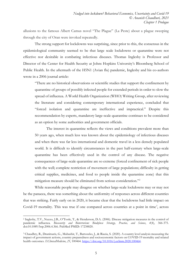allusions to the famous Albert Camus novel "The Plague" (La Peste) about a plague sweeping through the city of Oran were invoked repeatedly.

The strong support for lockdowns was surprising, since prior to this, the consensus in the epidemiological community seemed to be that large scale lockdowns or quarantine were not effective nor desirable in combating infectious diseases. Thomas Inglesby is Professor and Director of the Center for Health Security at Johns Hopkins University's Bloomberg School of Public Health. In the aftermath of the H5N1 (Avian flu) pandemic, Inglesby and his co-authors wrote in a 2006 journal article:

"There are no historical observations or scientific studies that support the confinement by quarantine of groups of possibly infected people for extended periods in order to slow the spread of influenza. A World Health Organization (WHO) Writing Group, after reviewing the literature and considering contemporary international experience, concluded that "forced isolation and quarantine are ineffective and impractical." Despite this recommendation by experts, mandatory large-scale quarantine continues to be considered as an option by some authorities and government officials.

The interest in quarantine reflects the views and conditions prevalent more than 50 years ago, when much less was known about the epidemiology of infectious diseases and when there was far less international and domestic travel in a less densely populated world. It is difficult to identify circumstances in the past half-century when large-scale quarantine has been effectively used in the control of any disease. The negative consequences of large-scale quarantine are so extreme (forced confinement of sick people with the well; complete restriction of movement of large populations; difficulty in getting critical supplies, medicines, and food to people inside the quarantine zone) that this mitigation measure should be eliminated from serious consideration."[2](#page-4-0)

While reasonable people may disagree on whether large-scale lockdowns may or may not be the panacea, there was something about the uniformity of responses across different countries that was striking. Fairly early on in 2020, it became clear that the lockdowns had little impact on Covid-19 mortality. This was true if one compared across countries at a point in time<sup>[3](#page-4-1)</sup>, across

<span id="page-4-0"></span><sup>2</sup> Inglesby, T.V., Nuzzo, J.B., O'Toole, T., & Henderson, D.A. (2006). Disease mitigation measures in the control of pandemic influenza. *Biosecurity and Bioterrorism: Biodefense Strategy, Practice, and Science*, *4*(4), 366-375. doi:10.1089/bsp.2006.4.366. PubMed PMID: 17238820.

<span id="page-4-1"></span><sup>3</sup> Chaudhry, R., Dranitsaris, G., Mubashir, T., Bartoszko, J., & Riazia, S. (2020). A country level analysis measuring the impact of government actions, country preparedness and socioeconomic factors on COVID-19 mortality and related health outcomes. *EClinicalMedicine*, *25*, 100464. [https://doi.org/10.1016/j.eclinm.2020.100464.](https://doi.org/10.1016/j.eclinm.2020.100464)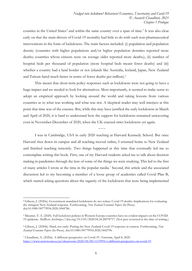counties in the United States<sup>[4](#page-5-0)</sup> and within the same country over a span of time.<sup>[5](#page-5-1)</sup> It was also clear early on that the main drivers of Covid-19 mortality had little to do with such non-pharmaceutical interventions in the form of lockdowns. The main factors included: (i) population and population density (countries with higher populations and/or higher population densities reported more deaths; countries whose citizens were on average older reported more deaths;), (ii) number of hospital beds per thousand of population (more hospital beds meant fewer deaths) and (iii) whether a country had a land border or not (islands like Australia, Iceland, Japan, New Zealand and Taiwan fared much better in terms of fewer deaths per million).<sup>[6](#page-5-2)</sup>

This meant that short-term policy responses such as lockdowns were not going to have a huge impact and we needed to look for alternatives. Most importantly, it seemed to make sense to adopt an empirical approach by looking around the world and taking lessons from various countries as to what was working and what was not. A skeptical reader may well interject at this point that time was of the essence. But, while this may have justified the early lockdowns in March and April of 2020, it is hard to understand how the support for lockdowns remained unwavering even in November-December of 2020, when the UK enacted strict lockdowns yet again.

 $\sim\sim\sim$ 

I was in Cambridge, USA in early 2020 teaching at Harvard Kennedy School. But once Harvard shut down its campus and all teaching moved online, I returned home to New Zealand and finished teaching remotely. Two things happened at this time that eventually led me to contemplate writing this book. First, one of my Harvard students asked me to talk about decision making in pandemics through the lens of some of the things we were studying. This led to the first of many articles I wrote at the time in the popular media.[7](#page-5-3) Second, this article and the associated discussion led to my becoming a member of a loose group of academics called Covid Plan B, which started asking questions about the sagacity of the lockdowns that were being implemented

<span id="page-5-0"></span><sup>4</sup> Gibson, J. (2020a). Government mandated lockdowns do not reduce Covid-19 deaths: Implications for evaluating the stringent New Zealand response. Forthcoming, *New Zealand Economic Papers* (In Press). doi:10.1080/00779954.2020.1844786.

<span id="page-5-1"></span><sup>5</sup> Meunier, T. A. (2020). Full lockdown policies in Western Europe countries have no evident impacts on the COVID-19 epidemic. *MedRxiv*. doi:https://doi.org/10.1101/2020.04.24.20078717. (Not peer reviewed at the time of writing.)

<span id="page-5-2"></span><sup>6</sup> Gibson, J. (2020b). Hard, not early: Putting the New Zealand Covid-19 response in context. Forthcoming, *New Zealand Economic Papers* (In Press). doi:10.1080/00779954.2020.1842796.

<span id="page-5-3"></span><sup>7</sup> Chaudhuri, A. (2020a). A different perspective on Covid-19. *Newsroom*, April 8, 2020. [https://www.newsroom.co.nz/ideasroom/2020/04/08/1119994/a-different-perspective-on-covid-19.](https://www.newsroom.co.nz/ideasroom/2020/04/08/1119994/a-different-perspective-on-covid-19)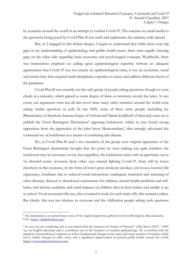by countries around the world in an attempt to combat Covid-19. The reaction on social media to the questions being posed by Covid Plan B was swift and unpleasant; the calumny wide-spread.

But, as I engaged in this debate deeper, I began to understand that while there were big gaps in my understanding of epidemiology and public health issues, there were equally yawning gaps on the other side regarding basic economic and psychological concepts. Worldwide, there was tremendous emphasis on calling upon epidemiological expertise without an adequate appreciation that Covid-19 was not merely an epidemiological crisis; it was an economic, social and moral crisis that required multi-disciplinary expertise to assess and address different facets of the pandemic.

Covid Plan B was certainly not the only group of people asking questions; though we were clearly in a minority, which gained us some degree of fame or notoriety; mostly the latter. In any event, our arguments were not all that novel since many other scientists around the world were asking similar questions as well. In late 2020, some of these same people (including Jay Bhattacharya of Stanford, Sunetra Gupta of Oxford and Martin Kulldorff of Harvard) went on to publish the Great Barrington Declaration<sup>8</sup> opposing lockdowns, which in turn found strong opposition from the signatories of the John Snow Memorandum<sup>[9](#page-6-1)</sup>, that strongly advocated the continued use of lockdowns as a means of combating this disease.

We, at Covid Plan B (and a few members of the group were original signatories of the Great Barrington declaration) thought that the point we were making was quite intuitive: the lockdowns may be necessary or not, but regardless, the lockdowns came with an *opportunity cost*; as we diverted scarce resources from other uses toward fighting Covid-19, there will be losses elsewhere in the economy, in the form of lower gross domestic product, job losses, lowered life expectancy, loneliness due to reduced social interactions, inadequate treatment and screening of other diseases, delayed or abandoned vaccinations for children, mental health problems and selfharm, and adverse academic and social impacts on children shut in their homes and unable to go to school. To an economist like me, who is trained to look for such trade-offs, this seemed evident. But clearly, this was not obvious to everyone and the vilification people asking such questions

<span id="page-6-0"></span><sup>8</sup> The declaration is so named since some of the original signatories gathered in Great Barrington, Massachusetts, USA. [https://gbdeclaration.org/.](https://gbdeclaration.org/)

<span id="page-6-1"></span><sup>9</sup> In case you are wondering, this is not named after the character in "Game of Thrones". John Snow (1813 – 1858) was an English physician and is considered one of the founders of modern epidemiology. He is credited with the adoption of anaesthesia in surgeries as well as fundamental changes in the water and waste systems of London, which led to similar changes in other cities, and a significant improvement in general public health around the world. [https://www.johnsnowmemo.com/.](https://www.johnsnowmemo.com/)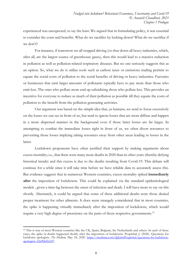experienced was unexpected, to say the least. We argued that in formulating policy, it was essential to consider the costs and benefits. What do we sacrifice by locking down? What do we sacrifice if we don't?

For instance, if tomorrow we all stopped driving (or shut down all heavy industries, which, after all, are the largest source of greenhouse gases), then this would lead to a massive reduction in pollution as well as pollution-related respiratory diseases. But no one seriously suggests this as an option. So, what we do is utilize tools such as carbon taxes or emissions trading permits to equate the social costs of pollution to the social benefits of driving or heavy industries. Factories or businesses that emit larger amounts of pollutants typically have to pay more than those who emit less. The ones who pollute more end up subsidizing those who pollute less. This provides an incentive for everyone to reduce as much of their pollution as possible till they equate the costs of pollution to the benefit from the pollution generating activities.

Our argument was based on the simple idea that, as humans, we tend to focus excessively on the losses we can see in front of us, but tend to ignore losses that are more diffuse and happen in a more dispersed manner in the background even if those latter losses are far larger. In attempting to combat the immediate losses right in front of us, we often divert resources to preventing those losses implying taking resources away from other areas leading to losses in the latter.

Lockdown proponents have often justified their support by making arguments about excess mortality; i.e., that there were many more deaths in 2020 than in other years (thereby defying historical trends) and this excess is due to the deaths resulting from Covid-19. This debate will continue for a while since it will take time before we have reliable data to accurately assess this. But evidence suggests that in numerous Western countries, excess mortality spiked **immediately after** the imposition of lockdowns. This could be explained via the standard epidemiological models , given a time-lag between the onset of infection and death. I will have more to say on this shortly. Alternately, it could be argued that some of these additional deaths were those denied proper treatment for other ailments. It does seem strangely coincidental that in most countries, the spike is happening virtually immediately after the imposition of lockdowns, which would require a very high degree of prescience on the parts of those respective governments.<sup>[10](#page-7-0)</sup>

<span id="page-7-0"></span><sup>&</sup>lt;sup>10</sup> This is true of most Western countries like the UK, Spain, Belgium, the Netherlands and others. In each of these cases, the spike in deaths happened shortly after the imposition of lockdowns. Pospichal, J. (2020). Questions for lockdown apologists. *The Medium*, May 24, 2020. [https://medium.com/@JohnPospichal/questions-for-lockdown](https://medium.com/@JohnPospichal/questions-for-lockdown-apologists-32a9bbf2e247)[apologists-32a9bbf2e247.](https://medium.com/@JohnPospichal/questions-for-lockdown-apologists-32a9bbf2e247)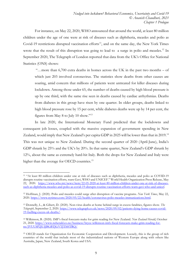For instance, on May 22, 2020, WHO announced that around the world, at least 80 million children under the age of one were at risk of diseases such as diphtheria, measles and polio as Covid-19 restrictions disrupted vaccination efforts<sup>11</sup>, and on the same day, the New York Times wrote that the result of this disruption was going to lead to a surge in polio and measles.<sup>12</sup> In September 2020, The Telegraph of London reported that data from the UK's Office for National Statistics (ONS) shows:

"…more than 6,700 extra deaths in homes across the UK in the past two months – of which just 203 involved coronavirus. The statistics show deaths from other causes are soaring, amid concern that millions of patients went untreated for killer diseases during lockdown. Among those under 65, the number of deaths caused by high blood pressure is up by one third, with the same rise seen in deaths caused by cardiac arrhythmias. Deaths from diabetes in this group have risen by one quarter. In older groups, deaths linked to high blood pressure rose by 15 per cent, while diabetes deaths were up by 14 per cent, the figures from May 8 to July 10 show."[13](#page-8-2)

In late 2020, the International Monetary Fund predicted that the lockdowns and consequent job losses, coupled with the massive expansion of government spending in New Zealand, would imply that New Zealand's per capita GDP in 2025 will be lower than that in 2019.[14](#page-8-3) This was not unique to New Zealand. During the second quarter of 2020 (April-June), India's GDP shrank by 25% and the UK's by 20%. In that same quarter, New Zealand's GDP shrunk by 12%, about the same as extremely hard-hit Italy. Both the drops for New Zealand and Italy were higher than the average for OECD countries.<sup>[15](#page-8-4)</sup>

<span id="page-8-0"></span><sup>11</sup> "At least 80 million children under one at risk of diseases such as diphtheria, measles and polio as COVID-19 disrupts routine vaccination efforts, warn Gavi, WHO and UNICEF." World Health Organization Press Release, May 22, 2020. [https://www.who.int/news/item/22-05-2020-at-least-80-million-children-under-one-at-risk-of-diseases](https://www.who.int/news/item/22-05-2020-at-least-80-million-children-under-one-at-risk-of-diseases-such-as-diphtheria-measles-and-polio-as-covid-19-disrupts-routine-vaccination-efforts-warn-gavi-who-and-unicef)[such-as-diphtheria-measles-and-polio-as-covid-19-disrupts-routine-vaccination-efforts-warn-gavi-who-and-unicef.](https://www.who.int/news/item/22-05-2020-at-least-80-million-children-under-one-at-risk-of-diseases-such-as-diphtheria-measles-and-polio-as-covid-19-disrupts-routine-vaccination-efforts-warn-gavi-who-and-unicef)

<span id="page-8-1"></span><sup>12</sup> Hoffman, J. (2020). Polio and measles could surge after disruption of vaccine programs. *New York Times*, May 22, 2020. [https://www.nytimes.com/2020/05/22/health/coronavirus-polio-measles-immunizations.html.](https://www.nytimes.com/2020/05/22/health/coronavirus-polio-measles-immunizations.html)

<span id="page-8-2"></span><sup>13</sup> Donnelly, L., & Gibert, D. (2020). Non-virus deaths at home behind surge in excess fatalities, figures show. *The Telegraph*, September 2, 2020. [https://www.telegraph.co.uk/news/2020/09/02/patients-dying-home-causes-covid-](https://www.telegraph.co.uk/news/2020/09/02/patients-dying-home-causes-covid-19-fuelling-excess-uk-deaths/)[19-fuelling-excess-uk-deaths/.](https://www.telegraph.co.uk/news/2020/09/02/patients-dying-home-causes-covid-19-fuelling-excess-uk-deaths/)

<span id="page-8-3"></span><sup>14</sup> Wilkinson, B. (2020). IMF's fiscal forecasts make for grim reading for New Zealand. *New Zealand Herald*, October 21, 2020. [https://www.nzherald.co.nz/business/bryce-wilkinson-imfs-fiscal-forecasts-make-grim-reading-for](https://www.nzherald.co.nz/business/bryce-wilkinson-imfs-fiscal-forecasts-make-grim-reading-for-nz/JVUUSP2JUIJBGBTJGVTJTSHTRQ/)[nz/JVUUSP2JUIJBGBTJGVTJTSHTRQ/](https://www.nzherald.co.nz/business/bryce-wilkinson-imfs-fiscal-forecasts-make-grim-reading-for-nz/JVUUSP2JUIJBGBTJGVTJTSHTRQ/)

<span id="page-8-4"></span><sup>15</sup> OECD stands for Organization for Economic Cooperation and Development. Loosely, this is the group of rich countries of the world that include most of the industrialized nations of Western Europe along with others like Australia, Japan, New Zealand, South Korea and USA.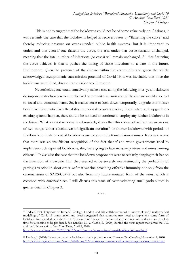This is not to suggest that the lockdowns could not be of some value early on. At times, it was certainly the case that the lockdowns helped in recovery rates by "flattening the curve" and thereby reducing pressure on over-extended public health systems. But it is important to understand that even if one flattens the curve, the area under that curve remains unchanged, meaning that the total number of infections (or cases) will remain unchanged. All that flattening the curve achieves is that it pushes the timing of those infections to a date in the future. Furthermore, given the presence of the disease within the community and given the widely acknowledged asymptomatic transmission potential of Covid-19, it was inevitable that once the lockdowns were lifted, disease transmission would resume.

Nevertheless, one could conceivably make a case along the following lines: yes, lockdowns do impose costs elsewhere but unchecked community transmission of the disease would also lead to social and economic harm. So, it makes sense to lock-down temporarily, upgrade and bolster health facilities, particularly the ability to undertake contact tracing. If and when such upgrades to existing systems happen, there should be no need to continue to employ any further lockdowns in the future. What was not necessarily acknowledged was that this course of action may mean one of two things: either a lockdown of significant duration<sup>[16](#page-9-0)</sup> or shorter lockdowns with periods of freedom but reinstatement of lockdowns once community transmission resumes. It seemed to me that there was an insufficient recognition of the fact that if and when governments tried to implement such repeated lockdowns, they were going to face massive protests and unrest among citizens.[17](#page-9-1) It was also the case that the lockdown proponents were necessarily hanging their hat on the invention of a vaccine. But, they seemed to be severely over-estimating the probability of getting a vaccine in short order *and* that vaccine providing effective immunity not only from the current strain of SARS-CoV-2 but also from any future mutated form of the virus, which is common with coronaviruses. I will discuss this issue of over-estimating small probabilities in greater detail in Chapter 3.

 $\sim$ 

<span id="page-9-0"></span><sup>&</sup>lt;sup>16</sup> Indeed, Neil Ferguson of Imperial College, London and his collaborators who undertook early mathematical modelling of Covid-19 transmission and deaths suggested that countries may need to implement some form of lockdown for extended periods of up to 18 months or 2 years in order to reduce the spread of the disease and to allow time for a vaccine to be produced. See Landler, M., & Castle, S. (2020). Behind the virus report that jarred the U.S. and the U.K. to action. *New York Times*, April 2, 2020.

<https://www.nytimes.com/2020/03/17/world/europe/coronavirus-imperial-college-johnson.html>.

<span id="page-9-1"></span><sup>17</sup> Henley, J. (2020). Latest coronavirus lockdowns spark protest around Europe. *The Guardian*, November 2, 2020. [https://www.theguardian.com/world/2020/nov/02/latest-coronavirus-lockdowns-spark-protests-across-europe.](https://www.theguardian.com/world/2020/nov/02/latest-coronavirus-lockdowns-spark-protests-across-europe)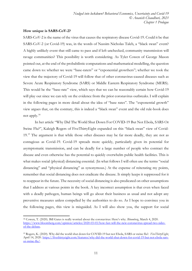## **How unique is SARS-CoV-2?**

SARS-CoV-2 is the name of the virus that causes the respiratory disease Covid-19. Could it be that SARS-CoV-2 (or Covid-19) was, in the words of Nassim Nicholas Taleb, a "black swan" event? A highly unlikely event that still came to pass and if left unchecked, community transmission will ravage communities? This possibility is worth considering. As Tyler Cowen of George Mason pointed out, at the end of the probabilistic computations and mathematical modelling, the question came down to: whether we were "base-raters" or "exponential growthers"; whether we took the view that the trajectory of Covid-19 will follow that of other coronavirus-caused diseases such as Severe Acute Respiratory Syndrome (SARS) or Middle Eastern Respiratory Syndrome (MERS). This would be the "base-rate" view, which says that we can be reasonably certain how Covid-19 will play out since we can rely on the evidence from the prior coronavirus outbreaks. I will explain in the following pages in more detail about the idea of "base rates". The "exponential growth" view argues that, on the contrary, this is indeed a "black swan" event and the old rule-book does not apply.[18](#page-10-0)

In her article "Why Did The World Shut Down For COVID-19 But Not Ebola, SARS Or Swine Flu?", Kaleigh Rogers of FiveThirtyEight expanded on this "black swan" view of Covid-[19](#page-10-1).<sup>19</sup> The argument is that while those other diseases may be far more deadly, they are not as contagious as Covid-19. Covid-19 spreads more quickly, particularly given its potential for asymptomatic transmission, and can be deadly for a large number of people who contract the disease and even otherwise has the potential to quickly overwhelm public health facilities. This is what makes social (physical) distancing essential. (In what follows I will often use the terms "social distancing" and "physical distancing" as synonymous.) At the expense of reiterating my points, remember that social distancing does not eradicate the disease. It simply keeps it suppressed for it to reappear in the future. The necessity of social distancing is also predicated on other assumptions that I address at various points in the book. A key incorrect assumption is that even when faced with a deadly pathogen, human beings will go about their business as usual and not adopt any preventive measures unless compelled by the authorities to do so. As I hope to convince you in the following pages, this view is misguided. As I will also show you, the support for social

<span id="page-10-0"></span><sup>18</sup> Cowen, T. (2020). Bill Gates is really worried about the coronavirus: Here's why. *Bloomberg*, March 4, 2020. [https://www.bloomberg.com/opinion/articles/2020-03-03/how-fast-will-the-new-coronavirus-spread-two-sides](https://www.bloomberg.com/opinion/articles/2020-03-03/how-fast-will-the-new-coronavirus-spread-two-sides-of-the-debate)[of-the-debate.](https://www.bloomberg.com/opinion/articles/2020-03-03/how-fast-will-the-new-coronavirus-spread-two-sides-of-the-debate)

<span id="page-10-1"></span><sup>19</sup> Rogers, K. (2020). Why did the world shut down for COVID-19 but not Ebola, SARS or swine flu?. *FiveThirtyEight*, April 14, 2020. [https://fivethirtyeight.com/features/why-did-the-world-shut-down-for-covid-19-but-not-ebola-sars](https://fivethirtyeight.com/features/why-did-the-world-shut-down-for-covid-19-but-not-ebola-sars-or-swine-flu/)[or-swine-flu/.](https://fivethirtyeight.com/features/why-did-the-world-shut-down-for-covid-19-but-not-ebola-sars-or-swine-flu/)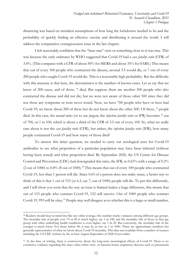distancing was based on mistaken assumptions of how long the lockdowns needed to be and the probability of quickly finding an effective vaccine and distributing it around the world. I will address the comparative contagiousness issue in the last chapter.

I felt reasonably confident that the "base-rate" view or something close to it was true. This was because the early estimates by WHO suggested that Covid-19 had a *case fatality ratio* (CFR) of 3.4%. (This compares with a CFR of about 50% for MERS and about 35% for SARS.) This means that out of every 100 people who contracted the disease, around 3.5 would die, or 7 out of every 200 people who caught Covid-19 would die. This is a reasonably high probability. But the difficulty with this measure is that here, the denominator is the number of known cases. Let us say that we know of 200 cases, and of those, 7 died. But suppose there are another 500 people who also contracted the disease and did not die, but we were not aware of those other 500 since they did not show any symptoms or were never tested. Now, we have 700 people who have or have had Covid-19; we know about 200 of these but do not know about the other 500. Of these, 7 people died. In this case, the actual ratio (or to use jargon, the *infection fatality ratio* or IFR) becomes 7 out of 700, or 1 in 100, which is about a third of the CFR of 3.5 out of every 100. So, what we really care about is not the *case fatality ratio* (CFR), but rather, the *infection fatality ratio* (IFR); how many people contracted Covid-19 and how many of those died?

To answer this latter question, we needed to carry out serological tests for Covid-19 antibodies to see what proportion of a particular population may have been infected (without having been tested) and what proportion died. By September 2020, the US Centre for Disease Control and Prevention (CDC) had downgraded this ratio, the IFR, to 0.65% with a range of 0.2% (2 out of 1000) to 0.8% (8 out of 1000). [20](#page-11-0) This means that out of every 100 people who contracted Covid-19, less than 1 person will die. Since 0.65 of a person does not make sense, a better way to think of this is that 1 out of 153 (or 6.5, say 7, out of 1000) people will die. To put this differently, and I will show you soon that the way an issue is framed makes a huge difference, this means that out of 153 people who contract Covid-19, 152 will survive. Out of 1000 people who contract Covid-19, 993 will be okay.<sup>[21](#page-11-1)</sup> People may well disagree as to whether this is a large or small number,

<span id="page-11-0"></span><sup>&</sup>lt;sup>20</sup> Readers should bear in mind that like any other average, this number masks variances among different age groups. The mortality risk of people over 70 or 80 is much higher, say 1 in 100; and the mortality risk of those in that age group with other underlying health conditions is even higher, say 1 in 20. But conversely, the mortality risk of the younger is much lower. For those below 40, it may be as low as 1 in 1000. These are approximate numbers but generally representative of what we know about Covid-19 mortality. This data was available from a number of sources including the US CDC website by the at least August-September of 2020 if not earlier

<span id="page-11-1"></span><sup>&</sup>lt;sup>21</sup> At the time of writing, there is controversy about the long-term neurological effects of Covid-19. There is no conclusive evidence regarding this since other either virus- or bacteria-borne respiratory diseases such as pneumonia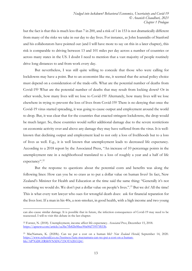but the fact is that this is much less than 7 in 200, and a risk of 1 in 153 is not dramatically different from many of the risks we take in our day to day lives. For instance, as John Ioannidis of Stanford and his collaborators have pointed out (and I will have more to say on this in a later chapter), this risk is comparable to driving between 13 and 101 miles per day across a number of countries or across many states in the US. I doubt I need to mention that a vast majority of people routinely drive long distances to and from work every day.

But nevertheless, I was still quite willing to concede that those who were calling for lockdowns may have a point. But to an economist like me, it seemed that the actual policy choice must depend on a consideration of the trade-offs. What are the potential number of deaths from Covid-19? What are the potential number of deaths that may result from locking down? Or in other words, how many lives will we lose to Covid-19? Alternately, how many lives will we lose elsewhere in trying to prevent the loss of lives from Covid-19? There is no denying that once the Covid-19 virus started spreading, it was going to cause output and employment around the world to drop. But, it was clear that for the countries that enacted stringent lockdowns, the drop would be much larger. So, these countries would suffer additional damage due to the severe restrictions on economic activity over and above any damage they may have suffered from the virus. It is wellknown that declining output and employment lead to not only a loss of livelihoods but to a loss of lives as well. E.g., it is well known that unemployment leads to decreased life expectancy. According to a 2018 report by the Associated Press, "An increase of 10 percentage points in the unemployment rate in a neighborhood translated to a loss of roughly a year and a half of life expectancy".<sup>[22](#page-12-0)</sup>

But the response to questions about the potential costs and benefits was along the following lines: How can you be so crass as to put a dollar value on human lives? In fact, New Zealand's Minister for Health and Education at the time said the same thing: "Generally it's not something we would do. We don't put a dollar value on people's lives.".<sup>[23](#page-12-1)</sup> But we do! All the time! This is what every tort lawyer who sues for wrongful death does: ask for financial reparation for the lives lost. If a man in his 40s, a non-smoker, in good health, with a high income and two young

can also cause similar damage. It is possible that in future, the infection consequences of Covid-19 may need to be reassessed. I will re-visit this debate in the last chapter.

<span id="page-12-0"></span><sup>22</sup> Forster, N. (2018). Unemployment, income affect life expectancy. *Associated Press*, December 15, 2018. [https://apnews.com/article/ea3be7fb82bf4bec90a00d75957f833b.](https://apnews.com/article/ea3be7fb82bf4bec90a00d75957f833b)

<span id="page-12-1"></span><sup>23</sup> MacNamara, K. (2020b). Can we put a cost on a human life? *New Zealand Herald*, September 14, 2020. [https://www.nzherald.co.nz/business/kate-macnamara-can-we-put-a-cost-on-a-human](https://www.nzherald.co.nz/business/kate-macnamara-can-we-put-a-cost-on-a-human-life/AP7GDUZRSHVNXFG723OTA2ECQ4/)[life/AP7GDUZRSHVNXFG723OTA2ECQ4/.](https://www.nzherald.co.nz/business/kate-macnamara-can-we-put-a-cost-on-a-human-life/AP7GDUZRSHVNXFG723OTA2ECQ4/)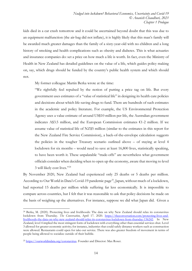kids died in a car crash tomorrow and it could be ascertained beyond doubt that this was due to an equipment malfunction (the air-bag did not inflate), it is highly likely that this man's family will be awarded much greater damages than the family of a sixty-year-old with no children and a long history of smoking and health complications such as obesity and diabetes. This is what actuaries and insurance companies do: set a price on how much a life is worth. In fact, even the Ministry of Health in New Zealand has detailed guidelines on the value of a life, which guides policy making on, say, which drugs should be funded by the country's public health system and which should not.

My former colleague Martin Berka wrote at the time:

"We rightfully feel repulsed by the notion of putting a price tag on life. But every government uses estimates of a "value of statistical life" in designing its health care policies and decisions about which life-saving drugs to fund. There are hundreds of such estimates in the academic and policy literature. For example, the US Environmental Protection Agency uses a value estimate of around US\$10 million per life, the Australian government indicates A\$3.5 million, and the European Commission estimates  $\epsilon$ 1-2 million. If we assume value of statistical life of NZ\$5 million (similar to the estimates in this report for the New Zealand Fire Service Commission), a back-of-the-envelope calculation suggests the policies in the tougher Treasury scenario outlined above – of staying at level 4 lockdown for six months – would need to save at least 16,800 lives, statistically speaking, to have been worth it. These unpalatable "trade-offs" are nevertheless what government officials consider when deciding when to open up the economy, aware that moving to level 3 will likely cost lives."[24](#page-13-0)

By November 2020, New Zealand had experienced only 25 deaths or 5 deaths per million. According to Our World in Data's Covid-19 pandemic page<sup>25</sup>, Japan, without much of a lockdown, had reported 15 deaths per million while suffering far less economically. It is impossible to compare across countries, but I felt that it was reasonable to ask that policy decisions be made on the basis of weighing up the alternatives. For instance, suppose we did what Japan did. Given a

<span id="page-13-0"></span><sup>24</sup> Berka, M. (2020). Protecting lives and livelihoods: The data on why New Zealand should relax its coronavirus lockdown from Thursday. *The Conversation*, April 17. 2020. [https://theconversation.com/protecting-lives-and](https://theconversation.com/protecting-lives-and-livelihoods-the-data-on-why-new-zealand-should-relax-its-coronavirus-lockdown-from-thursday-136242)[livelihoods-the-data-on-why-new-zealand-should-relax-its-coronavirus-lockdown-from-thursday-136242.](https://theconversation.com/protecting-lives-and-livelihoods-the-data-on-why-new-zealand-should-relax-its-coronavirus-lockdown-from-thursday-136242) In New Zealand, level 4 implied the most stringent form of lockdown with everything other than essential services shut. Level 3 allowed for greater economic activity; for instance, industries that could safely distance workers such as construction were allowed. Restaurants could open for take-out service. There was also greater freedom of movement in terms of people being allowed to socialize outside of their bubble.

<span id="page-13-1"></span><sup>25</sup> [https://ourworldindata.org/coronavirus.](https://ourworldindata.org/coronavirus) Founder and Director: Max Roser.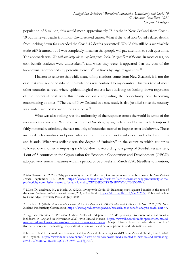population of 5 million, this would mean approximately 75 deaths in New Zealand from Covid-19 but far fewer deaths from non-Covid-related causes. What if the total non-Covid-related deaths from locking down far exceeded the Covid-19 deaths prevented? Would this still be a worthwhile trade-off? It turned out, I was completely mistaken that people will pay attention to such questions. The approach was: *We will minimize the loss of lives from Covid-19 regardless of the cost.* In most cases, no cost benefit analyses were undertaken<sup>26</sup>, and when they were, it appeared that the cost of the lockdowns far exceeded any potential benefits<sup>27</sup>, at times by large magnitudes.<sup>[28](#page-14-2)</sup>

I hasten to reiterate that while many of my citations come from New Zealand, it is not the case that this lack of cost-benefit calculations was confined to my country. This was true of most other countries as well, where epidemiological experts kept insisting on locking down regardless of the potential cost with this insistence on disregarding the opportunity cost becoming embarrassing at times.<sup>[29](#page-14-3)</sup> The use of New Zealand as a case study is also justified since the country was lauded around the world for its success.<sup>[30](#page-14-4)</sup>

What was also striking was the uniformity of the response across the world in terms of the measures implemented. With the exception of Sweden, Japan, Iceland and Taiwan, which imposed fairly minimal restrictions, the vast majority of countries moved to impose strict lockdowns. These included rich countries and poor, advanced countries and backward ones, landlocked countries and islands. What was striking was the degree of "mimicry" in the extent to which countries followed one another in imposing such lockdowns. According to a group of Swedish researchers, 4 out of 5 countries in the Organization for Economic Cooperation and Development (OECD) adopted very similar measures within a period of two weeks in March 2020. Needless to mention,

<span id="page-14-0"></span><sup>26</sup> MacNamara, K. (2020a). Why productivity at the Productivity Commission seems to be a low ebb. *New Zealand Herald*, September 11, 2020. [https://www.nzherald.co.nz/business/kate-macnamara-why-productivity-at-the](https://www.nzherald.co.nz/business/kate-macnamara-why-productivity-at-the-productivity-commission-seems-to-be-at-a-low-ebb/XR7PNKKLTZ5N4FV7YMUOHKO3R4/)[productivity-commission-seems-to-be-at-a-low-ebb/XR7PNKKLTZ5N4FV7YMUOHKO3R4/.](https://www.nzherald.co.nz/business/kate-macnamara-why-productivity-at-the-productivity-commission-seems-to-be-at-a-low-ebb/XR7PNKKLTZ5N4FV7YMUOHKO3R4/)

<span id="page-14-1"></span><sup>27</sup> Miles, D., Stedman, M., & Heald, A. (2020). Living with Covid-19: Balancing costs against benefits in the face of the virus. *National Institute Economic Review*, 253, R60-R76. doi:*https://doi.org/10.1017/nie.2020.30*. Published online by Cambridge University Press: 28 July 2020.

<span id="page-14-2"></span><sup>28</sup> Heatley, D. (2020). *A cost benefit analysis of 5 extra days at COVID-19 alert level 4* (Research Note 2020/02). New Zealand Productivity Commission. [https://www.productivity.govt.nz/research/cost-benefit-analysis-covid-alert-4/.](https://www.productivity.govt.nz/research/cost-benefit-analysis-covid-alert-4/)

<span id="page-14-3"></span><sup>29</sup> E.g., see interview of Professor Gabriel Scally of Independent SAGE (a strong proponent of a nation-wide lockdown in England in November 2020) with Maajid Nawaz. [https://www.lbc.co.uk/radio/presenters/maajid](https://www.lbc.co.uk/radio/presenters/maajid-nawaz/epidemiologist-on-cost-of-second-lockdown-coronavirus/)[nawaz/epidemiologist-on-cost-of-second-lockdown-coronavirus/.](https://www.lbc.co.uk/radio/presenters/maajid-nawaz/epidemiologist-on-cost-of-second-lockdown-coronavirus/) Maajid Nawaz hosts a radio show on LBC (formerly London Broadcasting Corporation), a London-based national phone-in and talk radio station.

<span id="page-14-4"></span><sup>30</sup> In awe of NZ: How world media reacted to New Zealand eliminating Covid-19. New Zealand Herald, June 9, 2020. (No byline). [https://www.nzherald.co.nz/nz/in-awe-of-nz-how-world-media-reacted-to-new-zealand-eliminating](https://www.nzherald.co.nz/nz/in-awe-of-nz-how-world-media-reacted-to-new-zealand-eliminating-covid-19/MMOWHK3HHQCYU3TWV7G3TSJJK4/)[covid-19/MMOWHK3HHQCYU3TWV7G3TSJJK4/](https://www.nzherald.co.nz/nz/in-awe-of-nz-how-world-media-reacted-to-new-zealand-eliminating-covid-19/MMOWHK3HHQCYU3TWV7G3TSJJK4/).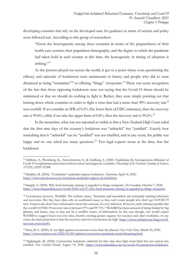developing countries that rely on the developed ones for guidance in terms of science and policy soon followed suit. According to this group of researchers:

"Given the heterogeneity among these countries in terms of the preparedness of their health care systems, their population demography, and the degree to which the pandemic had taken hold in each country at this time, the homogeneity in timing of adoption is striking."<sup>[31](#page-15-0)</sup>

As the process played out across the world, it got to a point where even questioning the efficacy and rationale of lockdowns were tantamount to heresy and people who did so were dismissed as being "contrarian"<sup>[32](#page-15-1)</sup> or offering "fringe" viewpoints.<sup>[33](#page-15-2)</sup> There was scant recognition of the fact that those opposing lockdowns were not saying that the Covid-19 threat should be minimized or that we should do nothing to fight it. Rather, they were simply pointing out that locking down whole countries in order to fight a virus that had a more than 99% recovery rate<sup>[34](#page-15-3)</sup> was overkill. If we consider an IFR of 0.2% (the lower limit of CDC estimates), then the recovery rate is 99.8%, while if we take the upper limit of 0.8%, then the recovery rate is 99.2%.<sup>[35](#page-15-4)</sup>

In the meantime, what was not reported as widely is that a New Zealand High Court ruled that the first nine days of the country's lockdown was "unlawful" but "justified". Exactly how something that is "unlawful" can be "justified" was not clarified, and in any event, the public was happy and no one asked too many questions.<sup>[36](#page-15-5)</sup> Two legal experts wrote at the time, that the lockdown:

<span id="page-15-0"></span><sup>31</sup> Sebhatu, A., Wennberg, K., Arora-Jonsson, S., & Lindberg, S. (2020). Explaining the homogeneous diffusion of Covid-19 nonpharmaceutical interventions across heterogenous countries. *Proceedings of the National Academy of Sciences*, *117*(35), 21201-21208.

<span id="page-15-1"></span><sup>32</sup> Daaldar, M. (2020). "Contrarian" academics oppose lockdown. *Newsroom*, April 14, 2020. [https://www.newsroom.co.nz/contrarian-academics-oppose-nz-lockdown.](https://www.newsroom.co.nz/contrarian-academics-oppose-nz-lockdown)

<span id="page-15-2"></span><sup>33</sup> Sample, S. (2020). Why herd immunity strategy is regarded as fringe viewpoint. *The Guardian*, October 7, 2020. [https://www.theguardian.com/world/2020/oct/07/why-herd-immunity-strategy-is-regarded-as-fringe-viewpoint.](https://www.theguardian.com/world/2020/oct/07/why-herd-immunity-strategy-is-regarded-as-fringe-viewpoint)

<span id="page-15-3"></span><sup>34</sup> Coronavirus recovery. WebMD. The website states: "Scientists and researchers are constantly tracking infections and recoveries. But they have data only on confirmed cases, so they can't count people who don't get COVID-19 tests. Experts also don't have information about the outcome of every infection. However, early estimates predict that the overall COVID-19 recovery rate is between 97% and 99.75%." WebMD has been accused of being funded by big pharma, and hence, may or may not be a credible source of information. In this case though, one would expect WebMD to suggest lower recovery rates, thereby creating greater urgency for vaccines and other medicines. In any event, the main point here is that the recovery rates for Coronavirus are high. [https://www.webmd.com/lung/covid](https://www.webmd.com/lung/covid-recovery-overview#1)[recovery-overview#1.](https://www.webmd.com/lung/covid-recovery-overview#1)

<span id="page-15-4"></span><sup>35</sup> Katz, D. L. (2020). Is our fight against coronavirus worse than the disease? *New York Times*, March 20, 2020. [https://www.nytimes.com/2020/03/20/opinion/coronavirus-pandemic-social-distancing.html.](https://www.nytimes.com/2020/03/20/opinion/coronavirus-pandemic-social-distancing.html)

<span id="page-15-5"></span><sup>36</sup> Nightingale, M. (2020). Coronavirus lockdown unlawful for first nine days high court finds but says action was justified. *New Zealand Herald*, August 19, 2020. [https://www.nzherald.co.nz/nz/covid-19-coronavirus-lockdown-](https://www.nzherald.co.nz/nz/covid-19-coronavirus-lockdown-unlawful-for-first-nine-days-high-court-finds-but-says-action-was-justified/AI2WQ3PZ5QYEWUYGSTS3MNKE6Q/)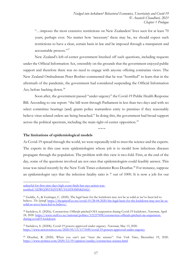"…imposes the most extensive restrictions on New Zealanders' lives seen for at least 70 years; perhaps ever. No matter how 'necessary' these may be, we should expect such restrictions to have a clear, certain basis in law and be imposed through a transparent and accountable process."[37](#page-16-0)

New Zealand's left-of-center government brushed off such questions, including requests under the Official Information Act, ostensibly on the grounds that the government enjoyed public support and therefore there was no need to engage with anyone offering contrarian views. The New Zealand Ombudsman Peter Boshier commented that he was "horrified" to learn that in the aftermath of the pandemic, the government had considered suspending the Official Information Act, before backing down.<sup>[38](#page-16-1)</sup>

Soon after, the government passed "under urgency" the Covid-19 Public Health Response Bill. According to one report: "the bill went through Parliament in less than two days and with no select committee hearings (and) grants police warrantless entry to premises if they reasonably believe virus-related orders are being breached." In doing this, the government had broad support across the political spectrum, including the main right-of-center opposition. [39](#page-16-2) 

**~~~**

**The limitations of epidemiological models**

As Covid-19 spread through the world, we were repeatedly told to trust the science and the experts. The experts in this case were epidemiologists whose job is to model how infectious diseases propagate through the population. The problem with this view is two-fold. First, at the end of the day, some of the questions involved are not ones that epidemiologists could feasibly answer. This issue was raised recently by the New York Times columnist Ross Douthat. [40](#page-16-3) For instance, suppose an epidemiologist says that the infection fatality ratio is 7 out of 1000. It is now a job for our

[unlawful-for-first-nine-days-high-court-finds-but-says-action-was](https://www.nzherald.co.nz/nz/covid-19-coronavirus-lockdown-unlawful-for-first-nine-days-high-court-finds-but-says-action-was-justified/AI2WQ3PZ5QYEWUYGSTS3MNKE6Q/)[justified/AI2WQ3PZ5QYEWUYGSTS3MNKE6Q/](https://www.nzherald.co.nz/nz/covid-19-coronavirus-lockdown-unlawful-for-first-nine-days-high-court-finds-but-says-action-was-justified/AI2WQ3PZ5QYEWUYGSTS3MNKE6Q/).

<span id="page-16-0"></span><sup>37</sup> Geddis, A., & Geiringer, C. (2020). The legal basis for the lockdown may not be as solid as we've been led to believe. *The Spinoff*. [https://thespinoff.co.nz/covid-19/28-04-2020/the-legal-basis-for-the-lockdown-may-not-be-as](https://thespinoff.co.nz/covid-19/28-04-2020/the-legal-basis-for-the-lockdown-may-not-be-as-solid-as-weve-been-led-to-believe/)[solid-as-weve-been-led-to-believe/.](https://thespinoff.co.nz/covid-19/28-04-2020/the-legal-basis-for-the-lockdown-may-not-be-as-solid-as-weve-been-led-to-believe/)

<span id="page-16-1"></span><sup>38</sup> Sachdeva, S. (2020a). Coronavirus: Officials pitched OIA suspension during Covid-19 lockdown. *Newsroom*, April 24, 2020. [https://www.stuff.co.nz/national/politics/121237698/coronavirus-officials-pitched-oia-suspension](https://www.stuff.co.nz/national/politics/121237698/coronavirus-officials-pitched-oia-suspension-during-covid19-lockdown)[during-covid19-lockdown.](https://www.stuff.co.nz/national/politics/121237698/coronavirus-officials-pitched-oia-suspension-during-covid19-lockdown)

<span id="page-16-2"></span><sup>39</sup> Sachdeva, S. (2020b). Covid-19 powers approved under urgency. *Newsroom*, May 13, 2020. [https://www.newsroom.co.nz/2020/05/13/1171049/covid-19-powers-approved-under-urgency.](https://www.newsroom.co.nz/2020/05/13/1171049/covid-19-powers-approved-under-urgency)

<span id="page-16-3"></span><sup>40</sup> Douthat, R. (2020). When you can't just "trust the science". *New York Times*, December 19, 2020. [https://www.nytimes.com/2020/12/19/opinion/sunday/coronavirus-science.html.](https://www.nytimes.com/2020/12/19/opinion/sunday/coronavirus-science.html)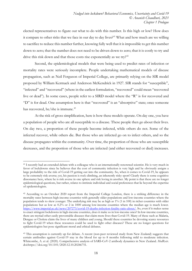elected representatives to figure out what to do with this number. Is this high or low? How does it compare to other risks that we face in our day to day lives?<sup>[41](#page-17-0)</sup> What and how much are we willing to sacrifice to reduce this number further, knowing fully well that it is impossible to get this number down to zero; that the number does not need to be driven down to zero; that it is costly to try and drive this risk down and that those costs rise exponentially as we try? $42$ 

Second, the epidemiological models that were being used to predict rates of infection or mortality rates were seriously incomplete. People undertaking mathematical models of disease propagation, such as Neil Ferguson of Imperial College, are primarily relying on the SIR model proposed by William Kermack and Anderson McKendrick in 1927. SIR stands for "susceptible", "infected" and "recovered" (where in the earliest formulation, "recovered" could mean "recovered live or dead"). In some cases, people refer to a SIRD model where the "R" is for recovered and "D" is for dead. One assumption here is that "recovered" is an "absorptive" state; once someone has recovered, he/she is immune.<sup>[43](#page-17-2)</sup>

At the risk of gross simplification, here is how these models operate. On day one, you have a population of people who are all susceptible to a disease. These people then go about their lives. On day two, a proportion of these people become infected, while others do not. Some of the infected recover, while others die. But those who are infected go on to infect others, and so the disease propagates within the community. Over time, the proportion of those who are susceptible decreases, and the proportion of those who are infected (and either recovered or died) increases.

<span id="page-17-0"></span><sup>&</sup>lt;sup>41</sup> I recently had an extended debate with a colleague who is an internationally renowned scientist. He is very much in favor of lockdowns since he believes that the cost of community infection is very high and he obviously assigns a large probability to the risk of Covid-19 getting out into the community. So, when it comes to Covid-19, he appears to be extremely risk-averse; yet, his passion is rock climbing, an inherently risky sport! Clearly there is some cognitive dissonance here, where he is risk averse in one sphere and risk loving in another. My point is that these are no longer epidemiological questions, but rather, relates to intrinsic individual and social preferences that lie beyond the expertise of epidemiologists.

<span id="page-17-1"></span><sup>42</sup> According to an October 2020 report from the Imperial College London, there is a striking difference in the mortality rates between high-income countries with generally older populations and low-income countries where the population tends to skew younger. The underlying risk may be as high as 1% (1 in 100) in richer countries with older populations but as low as 0.2% or 2 in 1000 among low-income countries where the median age is much lower. [https://www.imperial.ac.uk/news/207273/covid-19-deaths-infection-fatality-ratio-about/.](https://www.imperial.ac.uk/news/207273/covid-19-deaths-infection-fatality-ratio-about/) So, even if it makes sense to enact stringent lockdowns in high-income countries, does it make so in low-income ones? In low-income countries, there are myriad other easily preventable diseases that claim more lives than Covid-19. Many of these such as Malaria, Dengue or Cholera claim the lives of many children and young. Should these countries be devoting scarce resources to fight Covid-19 when these resources could be used to fight other diseases? These are no longer questions for epidemiologists but pose significant moral and ethical debates.

<span id="page-17-2"></span><sup>&</sup>lt;sup>43</sup> This assumption is currently up for debate. A recent (non-peer reviewed study from New Zealand) suggests that certain antibodies against Covid-19 stay in the blood for up to 8 months following mild to moderate infection. Whitcombe, A. et al. (2020). Comprehensive analysis of SARS-CoV-2 antibody dynamics in New Zealand. *MedRxiv*. doi:https://doi.org/10.1101/2020.12.10.20246751.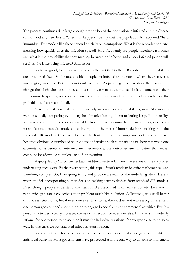The process continues till a large enough proportion of the population is infected and the disease cannot find any new hosts. When this happens, we say that the population has acquired "herd immunity". But models like these depend crucially on assumptions. What is the reproduction rate; meaning how quickly does the infection spread? How frequently are people meeting each other and what is the probability that any meeting between an infected and a non-infected person will result in the latter being infected? And so on.

So far so good; the problem starts with the fact that in the SIR model, these probabilities are considered fixed. So the rate at which people get infected or the rate at which they recover is unchanging over time. But this is not quite accurate. As people get to hear about the disease and change their behavior to some extent, as some wear masks, some self-isolate, some wash their hands more frequently, some work from home, some stay away from visiting elderly relatives, the probabilities change continually.

Now, even if you make appropriate adjustments to the probabilities, most SIR models were essentially comparing two binary benchmarks: locking down or letting it rip. But in reality, we have a continuum of choices available. In order to accommodate those choices, one needs more elaborate models; models that incorporate theories of human decision making into the standard SIR models. Once we do that, the limitations of the simplistic lockdown approach becomes obvious. A number of people have undertaken such comparisons to show that when one accounts for a variety of intermediate interventions, the outcomes are far better than either complete lockdown or complete lack of intervention.

A group led by Martin Eichenbaum at Northwestern University were one of the early ones undertaking such work. By their very nature, this type of work tends to be quite mathematical, and therefore, complex. So, I am going to try and provide a sketch of the underlying ideas. Here is where models incorporating human decision-making start to deviate from standard SIR models. Even though people understand the health risks associated with market activity, behavior in pandemics generate a collective action problem much like pollution. Collectively, we are all better off if we all stay home, but if everyone else stays home, then it does not make a big difference if one person goes out and about in order to engage in social and/or commercial activities. But this person's activities actually increases the risk of infection for everyone else. But, if it is individually rational for one person to do so, then it must be individually rational for everyone else to do so as well. In this case, we get unabated infection transmission.

So, the primary focus of policy needs to be on reducing this negative externality of individual behavior. Most governments have proceeded as if the only way to do so is to implement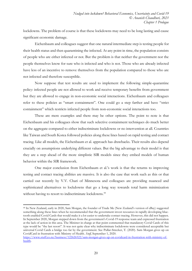lockdowns. The problem of course is that these lockdowns may need to be long lasting and cause significant economic damage.

Eichenbaum and colleagues suggest that one natural intermediate step is testing people for their health status and then quarantining the infected. At any point in time, the population consists of people who are either infected or not. But the problem is that neither the government nor the people themselves know for sure who is infected and who is not. Those who are already infected have less of an incentive to remove themselves from the population compared to those who are not infected and therefore susceptible.

Now suppose that test results are used to implement the following simple-quarantine policy: infected people are not allowed to work and receive temporary benefits from government but they are allowed to engage in non-economic social interactions. Eichenbaum and colleagues refer to these policies as "smart containment". One could go a step farther and have "strict containment" which restricts infected people from non-economic social interactions too.

These are mere examples and there may be other options. The point to note is that Eichenbaum and his colleagues show that such selective containment techniques do much better on the aggregate compared to either indiscriminate lockdowns or no intervention at all. Countries like Taiwan and South Korea followed policies along these lines based on rapid testing and contact tracing. Like all models, the Eichenbaum et al. approach has drawbacks. Their results also depend crucially on assumptions underlying different values. But the big advantage to their model is that they are a step ahead of the more simplistic SIR models since they embed models of human behavior within the SIR framework.

One major conclusion from Eichenbaum et al.'s work is that the returns to improving testing and contact tracing abilities are massive. It is also the case that work such as this or that carried out recently by V.V. Chari of Minnesota and colleagues are providing nuanced and sophisticated alternatives to lockdowns that go a long way towards total harm minimization without having to resort to indiscriminate lockdowns.<sup>[44](#page-19-0)</sup>

<span id="page-19-0"></span><sup>44</sup> In New Zealand, early in 2020, Sam Morgan, the founder of Trade Me (New Zealand's version of eBay) suggested something along these lines when he recommended that the government invest resources in rapidly developing bluetooth enabled Covid Cards that would make it a lot easier to undertake contact tracing. However, this did not happen. In September 2020, Morgan stepped down from the government's Covid-19 response team and expressed frustration at the lack of action in this area. The Minister in charge at that point commented that mandatory Covid Cards of this type would be "the last resort". It was not quite clear why indiscriminate lockdowns were considered acceptable but universal Covid Cards a bridge too far by the government. See Pullar-Strecker, T. (2020). Sam Morgan gives up on CovidCard in frustration with Ministry of Health. *Stuff*, September 1, 2020.

[https://www.stuff.co.nz/business/122626522/sam-morgan-gives-up-on-covidcard-in-frustration-with-ministry-of](https://www.stuff.co.nz/business/122626522/sam-morgan-gives-up-on-covidcard-in-frustration-with-ministry-of-health)[health.](https://www.stuff.co.nz/business/122626522/sam-morgan-gives-up-on-covidcard-in-frustration-with-ministry-of-health)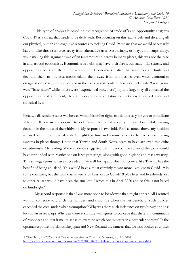This type of analysis is based on the recognition of trade-offs and opportunity cost; yes Covid-19 is a threat that needs to be dealt with. But focusing on this exclusively and diverting all our physical, human and cognitive resources to tackling Covid-19 means that we would necessarily have to take those resources away from alternative uses. Surprisingly, or maybe not surprisingly, while making this argument was often tantamount to heresy in many places, this was not the case in and around economists. Economists as a clan may have their flaws, but trade-offs, scarcity and opportunity costs are their bread-and-butter. Economists realize that resources are finite and devoting them to one area means taking them away from another; so even when economists disagreed on policy prescriptions or in their risk assessments of how deadly Covid-19 was (some were "base-raters" while others were "exponential growthers"), by and large they all conceded the opportunity cost argument; they all appreciated the distinction between identified lives and statistical lives.

 $\sim\sim\sim$ 

Finally, a discerning reader will be well within his or her rights to ask: It is easy for you to pontificate at length. If you are so opposed to lockdowns, then what would you have done, while making decision in the midst of the whirlwind. My response is two-fold. First, as noted above, my position is based on minimizing total costs. It might take time and resources to get effective contact tracing systems in place; though I note that Taiwan and South Korea seem to have achieved this quite expeditiously. My reading of the evidence suggested that most countries around the world could have responded with restrictions on large gatherings, along with good hygiene and mask wearing. This strategy seems to have succeeded quite well for Japan, which, of course, like Taiwan, has the benefit of being an island. This would have almost certainly meant more lives lost to Covid-19 in some countries, but the total cost in terms of lives lost to Covid-19 plus lives and livelihoods lost to other causes would have been the smallest. I wrote this in April 2020 and so this is not based on hind-sight.<sup>[45](#page-20-0)</sup>

My second response is that I was more open to lockdowns than might appear. All I wanted was for someone to crunch the numbers and show me when the net benefit of such policies exceeded the cost; under what assumptions? Why was there such insistence on two binary options: lockdown or let it rip? Why was there such little willingness to concede that there is a continuum of responses and that it makes sense to examine which one is better in a particular context? Is the optimal response for islands like Japan and New Zealand the same as that for land-locked countries

<span id="page-20-0"></span><sup>45</sup> Chaudhuri, A. (2020a). A different perspective on Covid-19. *Newsroom*, April 8, 2020. [https://www.newsroom.co.nz/ideasroom/2020/04/08/1119994/a-different-perspective-on-covid-19.](https://www.newsroom.co.nz/ideasroom/2020/04/08/1119994/a-different-perspective-on-covid-19)